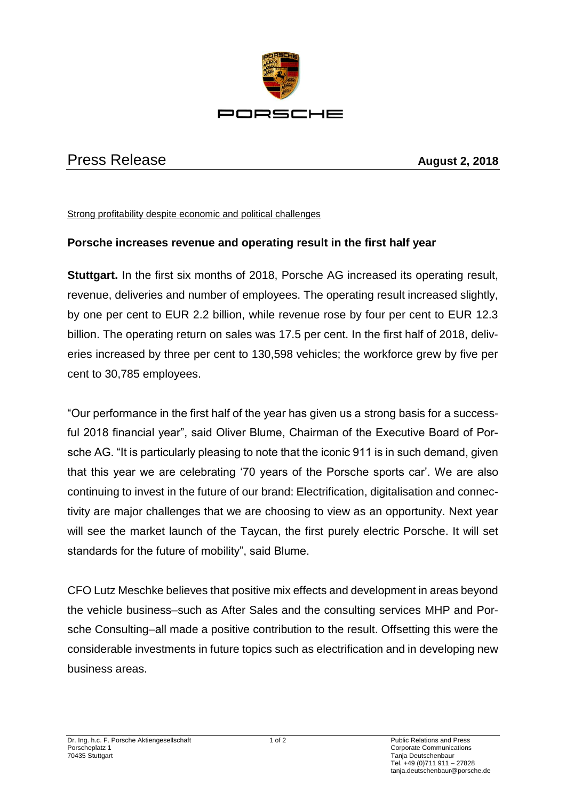

## Press Release **August 2, 2018**

## Strong profitability despite economic and political challenges

## **Porsche increases revenue and operating result in the first half year**

**Stuttgart.** In the first six months of 2018, Porsche AG increased its operating result, revenue, deliveries and number of employees. The operating result increased slightly, by one per cent to EUR 2.2 billion, while revenue rose by four per cent to EUR 12.3 billion. The operating return on sales was 17.5 per cent. In the first half of 2018, deliveries increased by three per cent to 130,598 vehicles; the workforce grew by five per cent to 30,785 employees.

"Our performance in the first half of the year has given us a strong basis for a successful 2018 financial year", said Oliver Blume, Chairman of the Executive Board of Porsche AG. "It is particularly pleasing to note that the iconic 911 is in such demand, given that this year we are celebrating '70 years of the Porsche sports car'. We are also continuing to invest in the future of our brand: Electrification, digitalisation and connectivity are major challenges that we are choosing to view as an opportunity. Next year will see the market launch of the Taycan, the first purely electric Porsche. It will set standards for the future of mobility", said Blume.

CFO Lutz Meschke believes that positive mix effects and development in areas beyond the vehicle business–such as After Sales and the consulting services MHP and Porsche Consulting–all made a positive contribution to the result. Offsetting this were the considerable investments in future topics such as electrification and in developing new business areas.